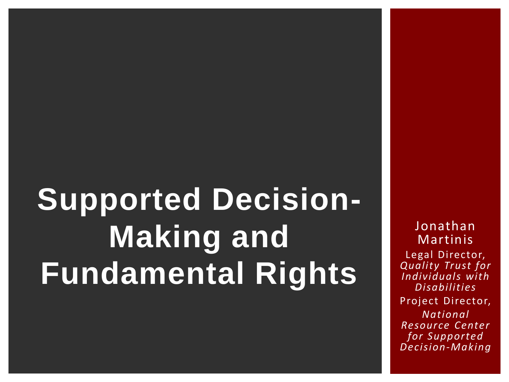# **Supported Decision-Making and Fundamental Rights**

Jonathan Martinis Legal Director, *Quality Trust for Individuals with Disabilities* Project Director, *National Resource Center for Supported Decision-Making*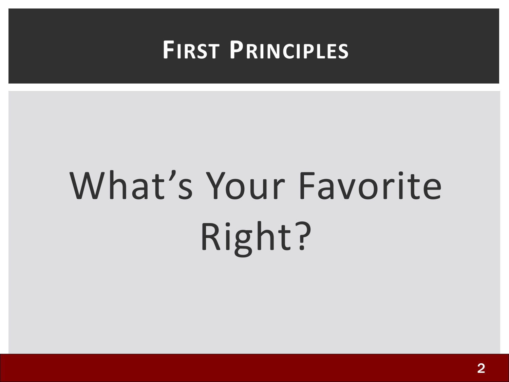### **FIRST PRINCIPLES**

# What's Your Favorite Right?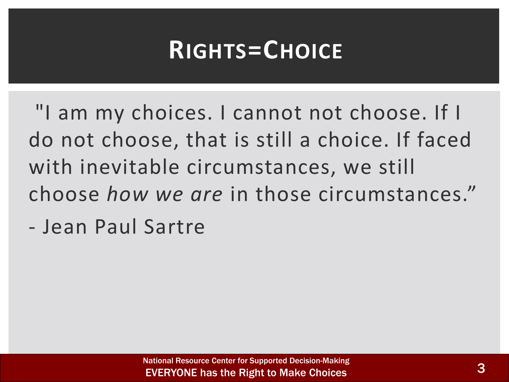### **RIGHTS=CHOICE**

"I am my choices. I cannot not choose. If I do not choose, that is still a choice. If faced with inevitable circumstances, we still choose *how we are* in those circumstances."

- Jean Paul Sartre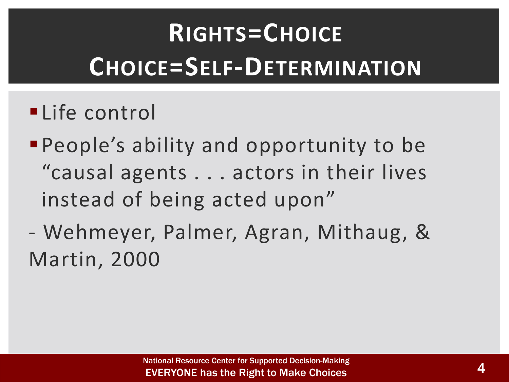# **RIGHTS=CHOICE CHOICE=SELF-DETERMINATION**

#### **·Life control**

- **People's ability and opportunity to be** "causal agents . . . actors in their lives instead of being acted upon"
- Wehmeyer, Palmer, Agran, Mithaug, & Martin, 2000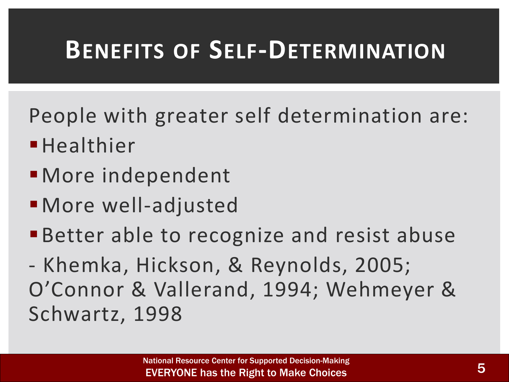### **BENEFITS OF SELF-DETERMINATION**

People with greater self determination are:

- **·**Healthier
- More independent
- ▪More well-adjusted
- **Better able to recognize and resist abuse**

- Khemka, Hickson, & Reynolds, 2005; O'Connor & Vallerand, 1994; Wehmeyer & Schwartz, 1998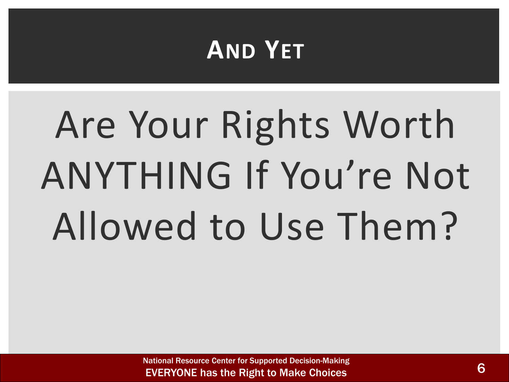### **AND YET**

# Are Your Rights Worth ANYTHING If You're Not Allowed to Use Them?

National Resource Center for Supported Decision-Making EVERYONE has the Right to Make Choices 6 and the Choice 6 and the Right to Make Choices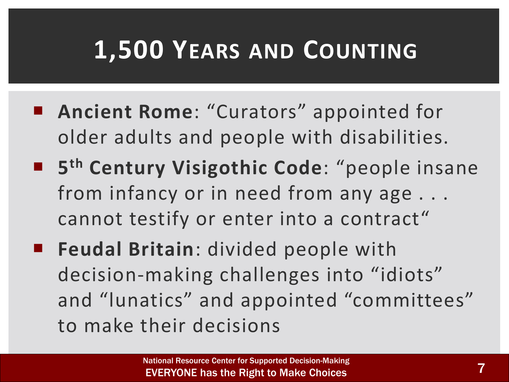### **1,500 YEARS AND COUNTING**

- Ancient Rome: "Curators" appointed for older adults and people with disabilities.
- **5 th Century Visigothic Code**: "people insane from infancy or in need from any age . . . cannot testify or enter into a contract"
- **Feudal Britain**: divided people with decision-making challenges into "idiots" and "lunatics" and appointed "committees" to make their decisions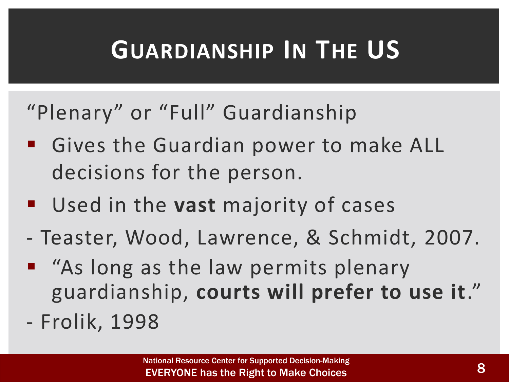### **GUARDIANSHIP IN THE US**

#### "Plenary" or "Full" Guardianship

- Gives the Guardian power to make ALL decisions for the person.
- Used in the **vast** majority of cases
- Teaster, Wood, Lawrence, & Schmidt, 2007.
- "As long as the law permits plenary guardianship, **courts will prefer to use it**."
- Frolik, 1998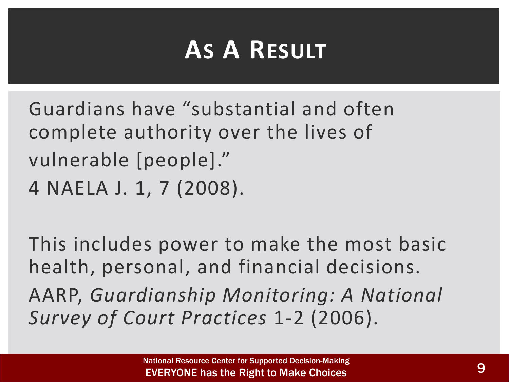### **AS A RESULT**

Guardians have "substantial and often complete authority over the lives of vulnerable [people]." 4 NAELA J. 1, 7 (2008).

This includes power to make the most basic health, personal, and financial decisions. AARP, *Guardianship Monitoring: A National Survey of Court Practices* 1-2 (2006).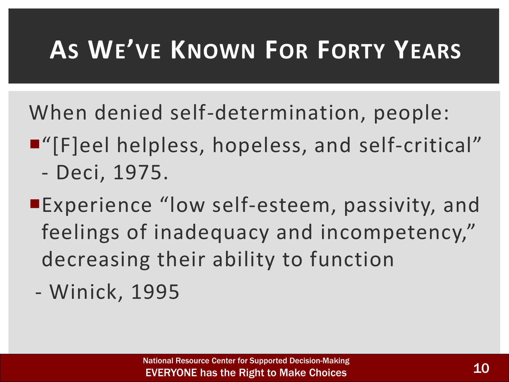### **AS WE'VE KNOWN FOR FORTY YEARS**

When denied self-determination, people:

- ■"[F]eel helpless, hopeless, and self-critical"
	- Deci, 1975.
- Experience "low self-esteem, passivity, and feelings of inadequacy and incompetency," decreasing their ability to function
- Winick, 1995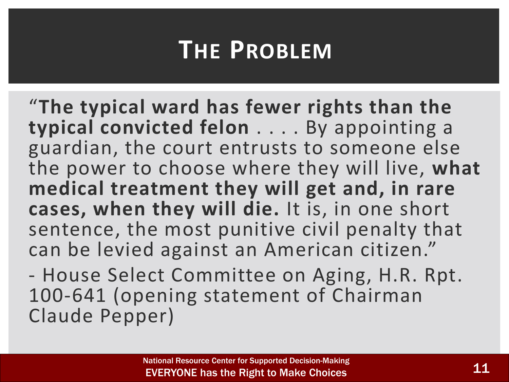### **THE PROBLEM**

"**The typical ward has fewer rights than the typical convicted felon** . . . . By appointing a guardian, the court entrusts to someone else the power to choose where they will live, **what medical treatment they will get and, in rare cases, when they will die.** It is, in one short sentence, the most punitive civil penalty that can be levied against an American citizen."

- House Select Committee on Aging, H.R. Rpt. 100-641 (opening statement of Chairman Claude Pepper)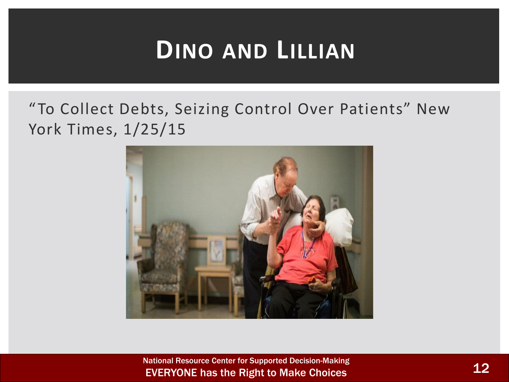### **DINO AND LILLIAN**

#### "To Collect Debts, Seizing Control Over Patients" New York Times, 1/25/15



National Resource Center for Supported Decision-Making EVERYONE has the Right to Make Choices 12 and 12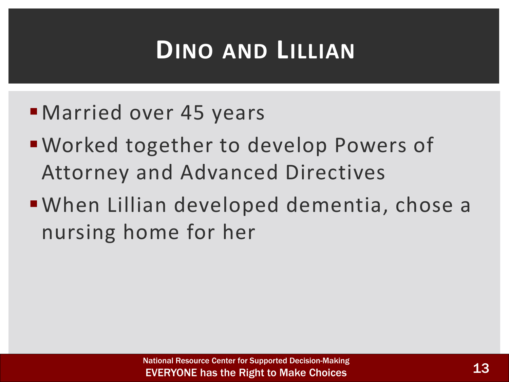### **DINO AND LILLIAN**

- **E** Married over 45 years
- Worked together to develop Powers of Attorney and Advanced Directives
- ▪When Lillian developed dementia, chose a nursing home for her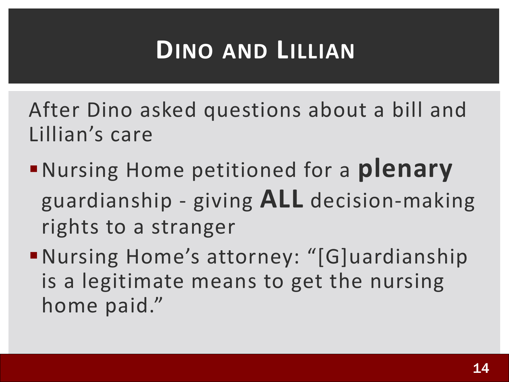### **DINO AND LILLIAN**

After Dino asked questions about a bill and Lillian's care

- ▪Nursing Home petitioned for a **plenary** guardianship - giving **ALL** decision-making rights to a stranger
- ▪Nursing Home's attorney: "[G]uardianship is a legitimate means to get the nursing home paid."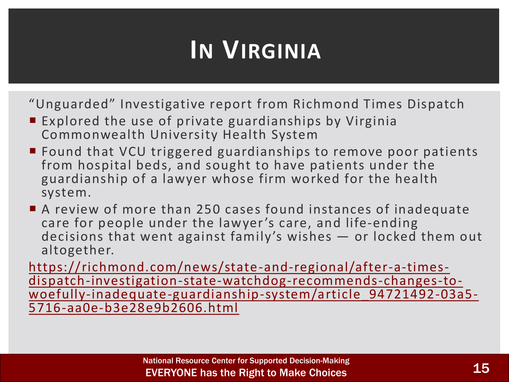### **IN VIRGINIA**

"Unguarded" Investigative report from Richmond Times Dispatch

- Explored the use of private guardianships by Virginia Commonwealth University Health System
- Found that VCU triggered guardianships to remove poor patients from hospital beds, and sought to have patients under the guardianship of a lawyer whose firm worked for the health system.
- A review of more than 250 cases found instances of inadequate care for people under the lawyer 's care, and life-ending decisions that went against family's wishes — or locked them out altogether.

https://richmond.com/news/state-and-regional/after-a-timesdispatch-investigation-state-watchdog-recommends-changes-to[woefully-inadequate-guardianship-system/article\\_94721492-03a5-](https://richmond.com/news/state-and-regional/after-a-times-dispatch-investigation-state-watchdog-recommends-changes-to-woefully-inadequate-guardianship-system/article_94721492-03a5-5716-aa0e-b3e28e9b2606.html) 5716-aa0e-b3e28e9b2606.html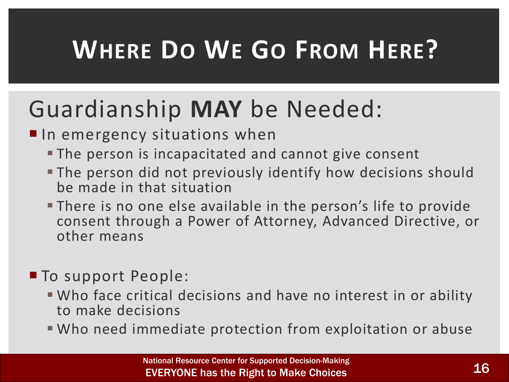### **WHERE DO WE GO FROM HERE?**

### Guardianship **MAY** be Needed:

 $\blacksquare$  In emergency situations when

- **The person is incapacitated and cannot give consent**
- **The person did not previously identify how decisions should** be made in that situation
- **There is no one else available in the person's life to provide** consent through a Power of Attorney, Advanced Directive, or other means

#### To support People:

- **Who face critical decisions and have no interest in or ability** to make decisions
- Who need immediate protection from exploitation or abuse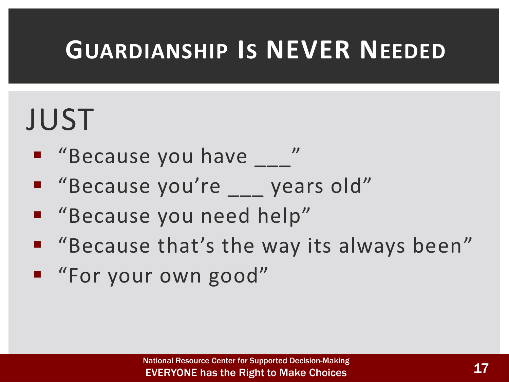### **GUARDIANSHIP IS NEVER NEEDED**

# JUST

- "Because you have "
- "Because you're \_\_ years old"
- "Because you need help"
- "Because that's the way its always been"
- "For your own good"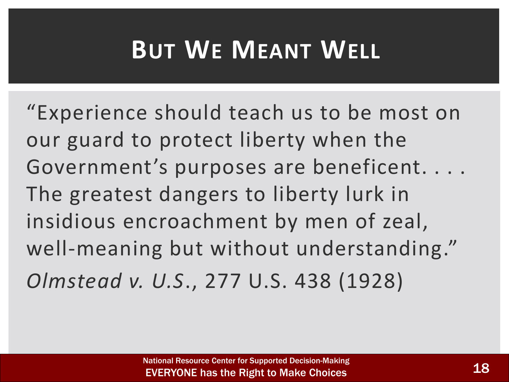### **BUT WE MEANT WELL**

"Experience should teach us to be most on our guard to protect liberty when the Government's purposes are beneficent. . . . The greatest dangers to liberty lurk in insidious encroachment by men of zeal, well-meaning but without understanding." *Olmstead v. U.S*., 277 U.S. 438 (1928)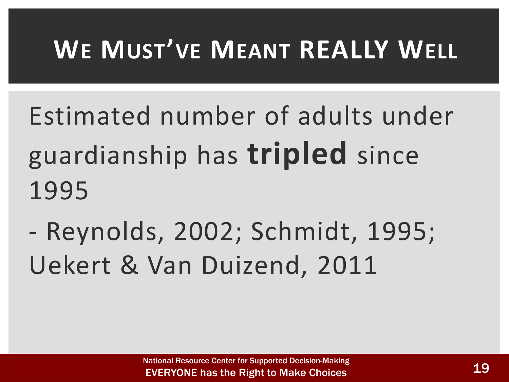### **WE MUST'VE MEANT REALLY WELL**

- Estimated number of adults under guardianship has **tripled** since 1995
- Reynolds, 2002; Schmidt, 1995; Uekert & Van Duizend, 2011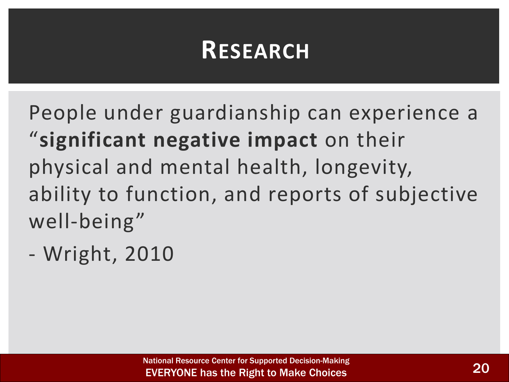### **RESEARCH**

People under guardianship can experience a "**significant negative impact** on their physical and mental health, longevity, ability to function, and reports of subjective well-being"

- Wright, 2010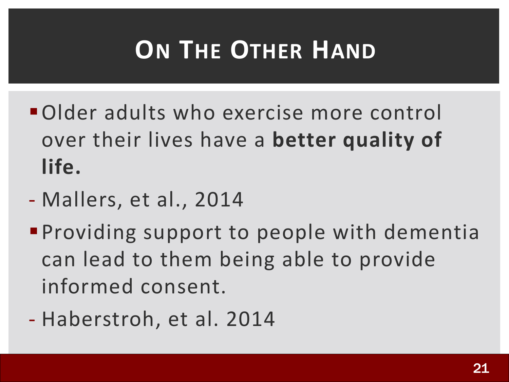### **ON THE OTHER HAND**

- ▪Older adults who exercise more control over their lives have a **better quality of life.**
- Mallers, et al., 2014
- **Providing support to people with dementia** can lead to them being able to provide informed consent.
- Haberstroh, et al. 2014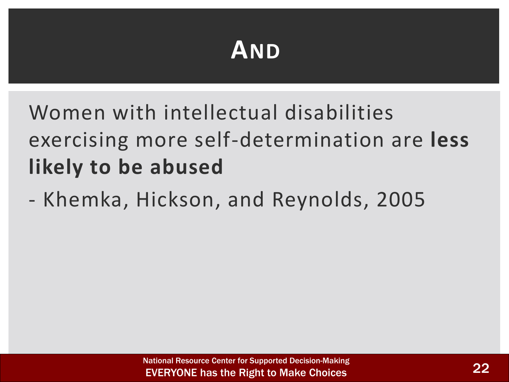### **AND**

Women with intellectual disabilities exercising more self-determination are **less likely to be abused**

- Khemka, Hickson, and Reynolds, 2005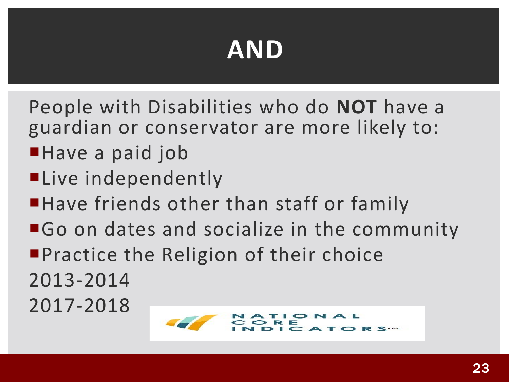### **AND**

People with Disabilities who do **NOT** have a guardian or conservator are more likely to:

- ■Have a paid job
- **ELive independently**
- ■Have friends other than staff or family
- ■Go on dates and socialize in the community **Practice the Religion of their choice** 2013-2014

2017-2018

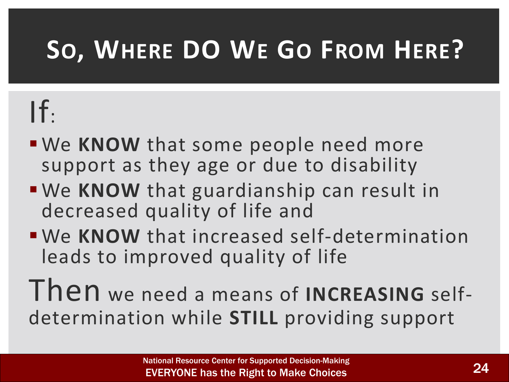### **SO, WHERE DO WE GO FROM HERE?**

# $If.$

- **We KNOW** that some people need more support as they age or due to disability
- **We KNOW** that guardianship can result in decreased quality of life and
- **We KNOW** that increased self-determination leads to improved quality of life

Then we need a means of **INCREASING** selfdetermination while **STILL** providing support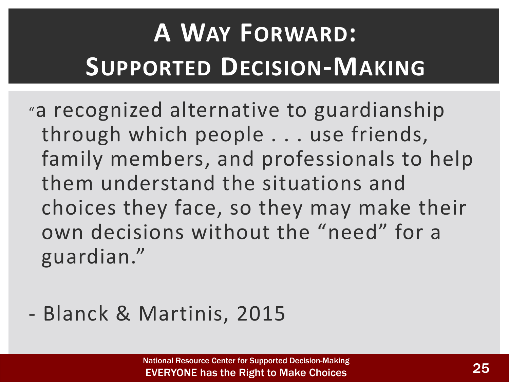# **A WAY FORWARD: SUPPORTED DECISION-MAKING**

"a recognized alternative to guardianship through which people . . . use friends, family members, and professionals to help them understand the situations and choices they face, so they may make their own decisions without the "need" for a guardian."

#### - Blanck & Martinis, 2015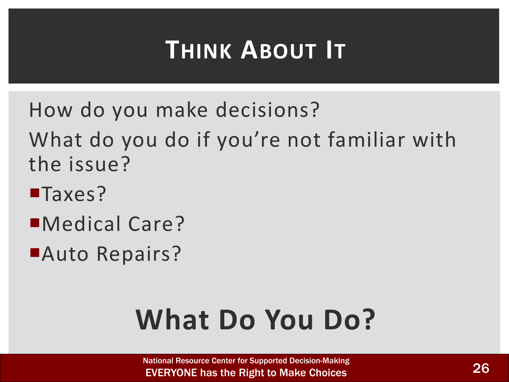### **THINK ABOUT IT**

- How do you make decisions? What do you do if you're not familiar with the issue?
- **Taxes?**
- Medical Care?
- **Auto Repairs?**

# **What Do You Do?**

National Resource Center for Supported Decision-Making **EVERYONE has the Right to Make Choices** 26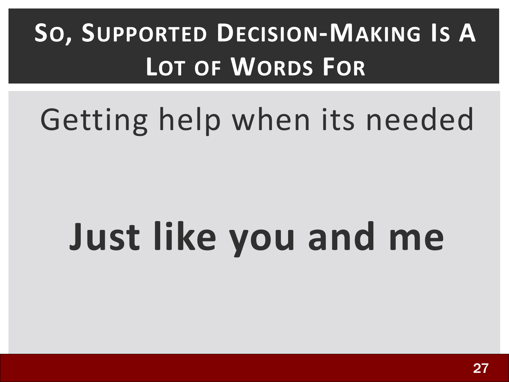# **SO, SUPPORTED DECISION-MAKING IS A LOT OF WORDS FOR**

# Getting help when its needed

# **Just like you and me**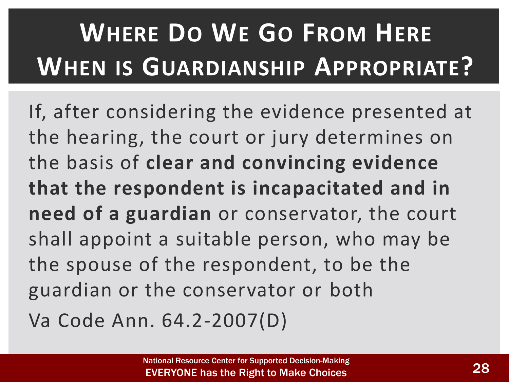# **WHERE DO WE GO FROM HERE WHEN IS GUARDIANSHIP APPROPRIATE?**

If, after considering the evidence presented at the hearing, the court or jury determines on the basis of **clear and convincing evidence that the respondent is incapacitated and in need of a guardian** or conservator, the court shall appoint a suitable person, who may be the spouse of the respondent, to be the guardian or the conservator or both

Va Code Ann. 64.2-2007(D)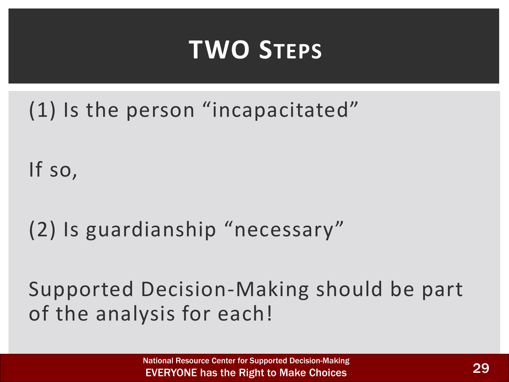### **TWO STEPS**

(1) Is the person "incapacitated"

If so,

(2) Is guardianship "necessary"

Supported Decision-Making should be part of the analysis for each!

> National Resource Center for Supported Decision-Making EVERYONE has the Right to Make Choices 29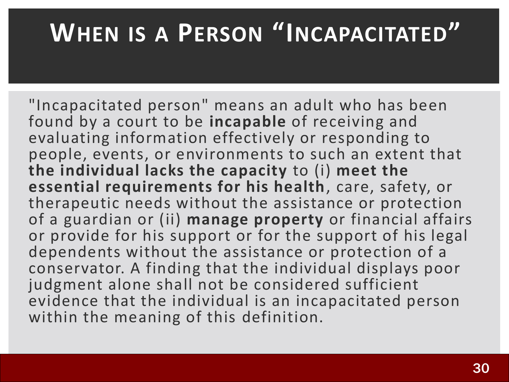### **WHEN IS A PERSON "INCAPACITATED"**

"Incapacitated person" means an adult who has been found by a court to be **incapable** of receiving and evaluating information effectively or responding to people, events, or environments to such an extent that **the individual lacks the capacity** to (i) **meet the essential requirements for his health**, care, safety, or therapeutic needs without the assistance or protection of a guardian or (ii) **manage property** or financial affairs or provide for his support or for the support of his legal dependents without the assistance or protection of a conservator. A finding that the individual displays poor judgment alone shall not be considered sufficient evidence that the individual is an incapacitated person within the meaning of this definition.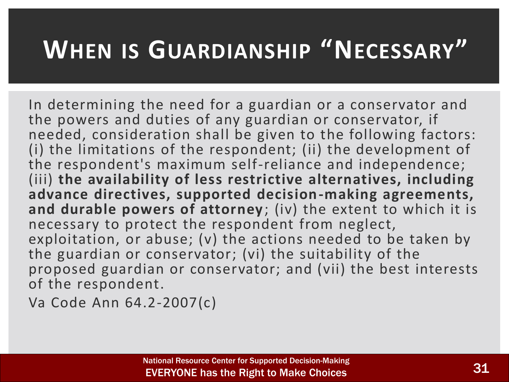### **WHEN IS GUARDIANSHIP "NECESSARY"**

In determining the need for a guardian or a conservator and the powers and duties of any guardian or conservator, if needed, consideration shall be given to the following factors: (i) the limitations of the respondent; (ii) the development of the respondent's maximum self-reliance and independence; (iii) **the availability of less restrictive alternatives, including advance directives, supported decision-making agreements, and durable powers of attorney**; (iv) the extent to which it is necessary to protect the respondent from neglect, exploitation, or abuse; (v) the actions needed to be taken by the guardian or conservator; (vi) the suitability of the proposed guardian or conservator; and (vii) the best interests of the respondent.

Va Code Ann 64.2-2007(c)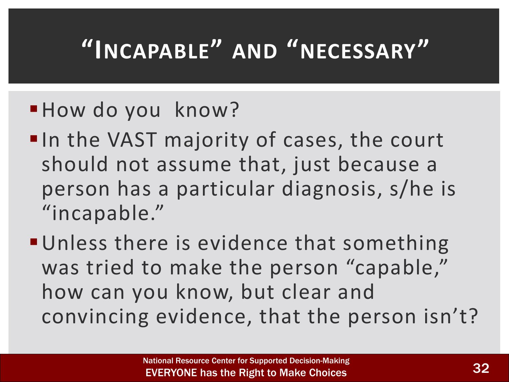### **"INCAPABLE" AND "NECESSARY"**

#### **How do you know?**

- ■In the VAST majority of cases, the court should not assume that, just because a person has a particular diagnosis, s/he is "incapable."
- **Unless there is evidence that something** was tried to make the person "capable," how can you know, but clear and convincing evidence, that the person isn't?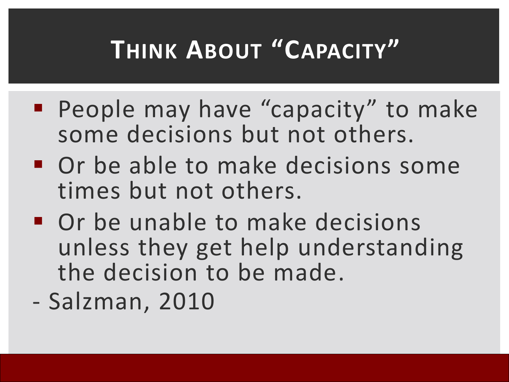### **THINK ABOUT "CAPACITY"**

- **People may have "capacity" to make** some decisions but not others.
- **Or be able to make decisions some** times but not others.
- Or be unable to make decisions unless they get help understanding the decision to be made.
- Salzman, 2010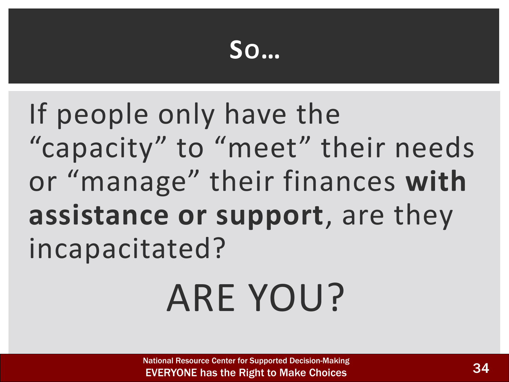### **SO…**

If people only have the "capacity" to "meet" their needs or "manage" their finances **with assistance or support**, are they incapacitated?

# ARE YOU?

National Resource Center for Supported Decision-Making **EVERYONE has the Right to Make Choices**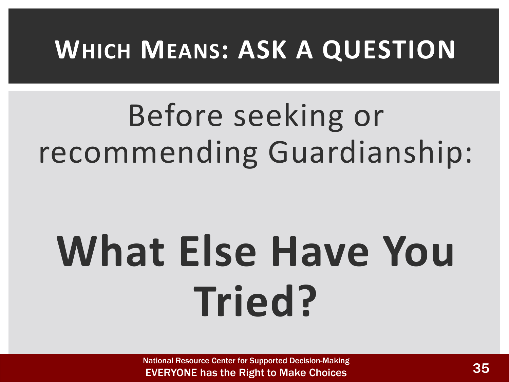### **WHICH MEANS: ASK A QUESTION**

# Before seeking or recommending Guardianship:

# **What Else Have You Tried?**

National Resource Center for Supported Decision-Making **EVERYONE has the Right to Make Choices 35**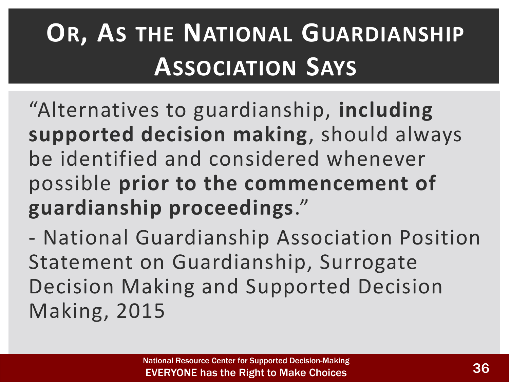## **OR, AS THE NATIONAL GUARDIANSHIP ASSOCIATION SAYS**

"Alternatives to guardianship, **including supported decision making**, should always be identified and considered whenever possible **prior to the commencement of guardianship proceedings**."

- National Guardianship Association Position Statement on Guardianship, Surrogate Decision Making and Supported Decision Making, 2015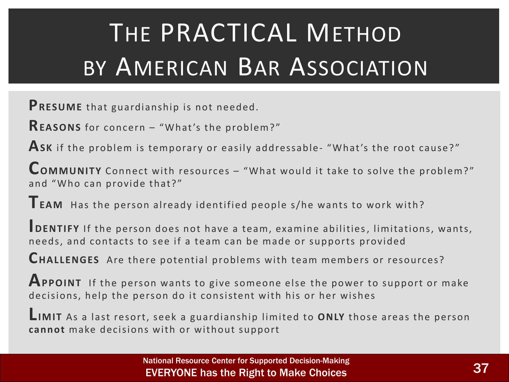# THE PRACTICAL METHOD BY AMERICAN BAR ASSOCIATION

**PRESUME** that guardianship is not needed.

**REASONS** for concern – "What 's the problem? "

**ASK** if the problem is temporary or easily addressable- "What 's the root cause? "

**COMMUNITY** Connect with resources – "What would it take to solve the problem?" and "Who can provide that?"

**TEAM** Has the person already identified people s/he wants to work with?

**IDENTIFY** If the person does not have a team, examine abilities, limitations, wants, needs, and contacts to see if a team can be made or supports provided

**CHALLENGES** Are there potential problems with team members or resources?

**APPOINT** If the person wants to give someone else the power to support or make decisions, help the person do it consistent with his or her wishes

**LIMIT** As a last resort, seek a guardianship limited to **ONLY** those areas the person **cannot** make decisions with or without support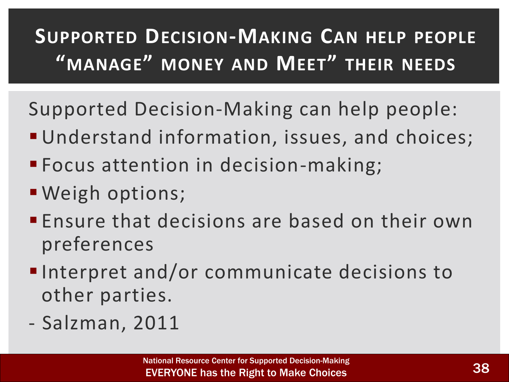### **SUPPORTED DECISION-MAKING CAN HELP PEOPLE "MANAGE" MONEY AND MEET" THEIR NEEDS**

Supported Decision-Making can help people:

- **Understand information, issues, and choices;**
- **Focus attention in decision-making;**
- Weigh options;
- **Ensure that decisions are based on their own** preferences
- ■Interpret and/or communicate decisions to other parties.
- Salzman, 2011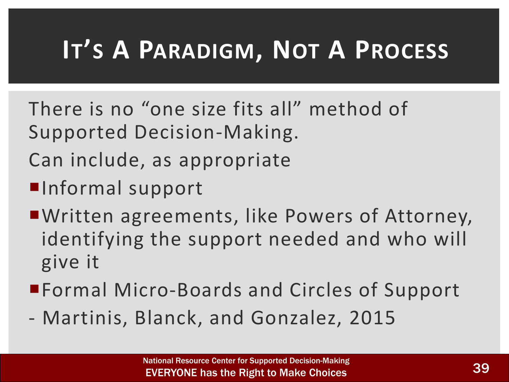### **IT'S A PARADIGM, NOT A PROCESS**

- There is no "one size fits all" method of Supported Decision-Making.
- Can include, as appropriate
- **Informal support**
- Written agreements, like Powers of Attorney, identifying the support needed and who will give it
- ■Formal Micro-Boards and Circles of Support
- Martinis, Blanck, and Gonzalez, 2015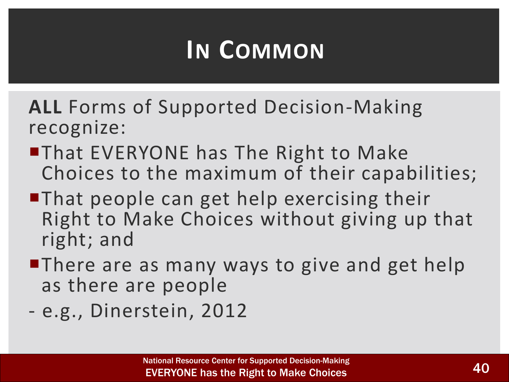### **IN COMMON**

**ALL** Forms of Supported Decision-Making recognize:

- **That EVERYONE has The Right to Make** Choices to the maximum of their capabilities;
- ■That people can get help exercising their Right to Make Choices without giving up that right; and
- **There are as many ways to give and get help** as there are people
- e.g., Dinerstein, 2012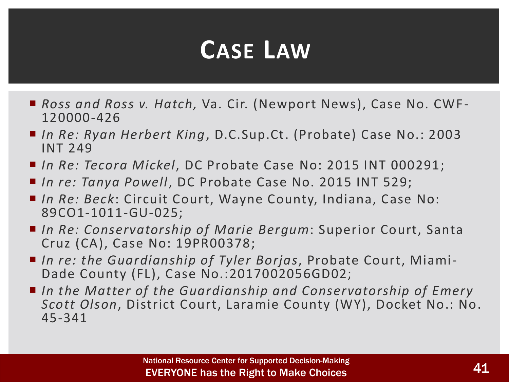### **CASE LAW**

- Ross and Ross v. Hatch, Va. Cir. (Newport News), Case No. CWF-120000-426
- *In Re: Ryan Herbert King*, D.C.Sup.Ct. (Probate) Case No.: 2003 INT 249
- *In Re: Tecora Mickel*, DC Probate Case No: 2015 INT 000291;
- In re: Tanya Powell, DC Probate Case No. 2015 INT 529;
- *In Re: Beck*: Circuit Court, Wayne County, Indiana, Case No: 89CO1-1011-GU-025;
- *In Re: Conservatorship of Marie Bergum*: Superior Court, Santa Cruz (CA), Case No: 19PR00378;
- *In re: the Guardianship of Tyler Borjas*, Probate Court, Miami-Dade County (FL), Case No.:2017002056GD02;
- In the Matter of the Guardianship and Conservatorship of Emery *Scott Olson*, District Court, Laramie County (WY), Docket No.: No. 45-341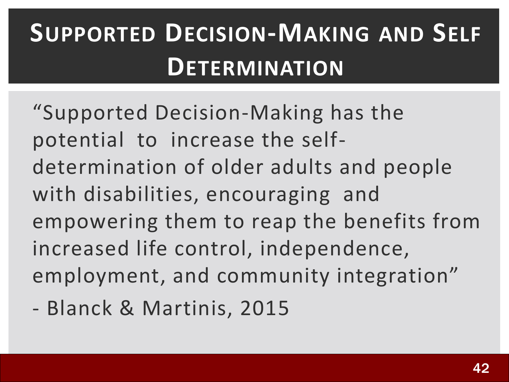## **SUPPORTED DECISION-MAKING AND SELF DETERMINATION**

"Supported Decision-Making has the potential to increase the selfdetermination of older adults and people with disabilities, encouraging and empowering them to reap the benefits from increased life control, independence, employment, and community integration"

- Blanck & Martinis, 2015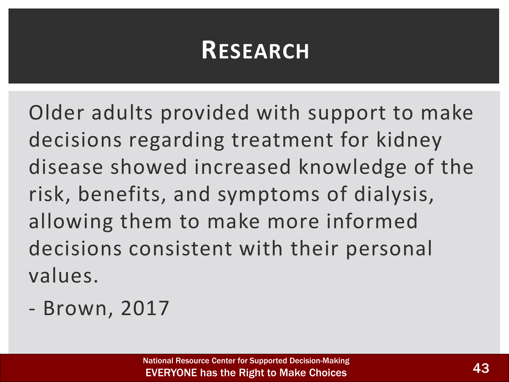### **RESEARCH**

Older adults provided with support to make decisions regarding treatment for kidney disease showed increased knowledge of the risk, benefits, and symptoms of dialysis, allowing them to make more informed decisions consistent with their personal values.

- Brown, 2017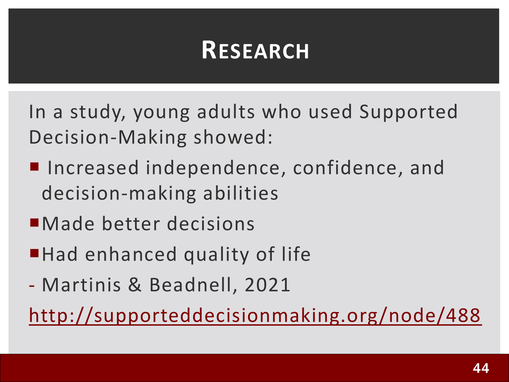### **RESEARCH**

In a study, young adults who used Supported Decision-Making showed:

- **Increased independence, confidence, and** decision-making abilities
- Made better decisions
- ■Had enhanced quality of life
- Martinis & Beadnell, 2021

<http://supporteddecisionmaking.org/node/488>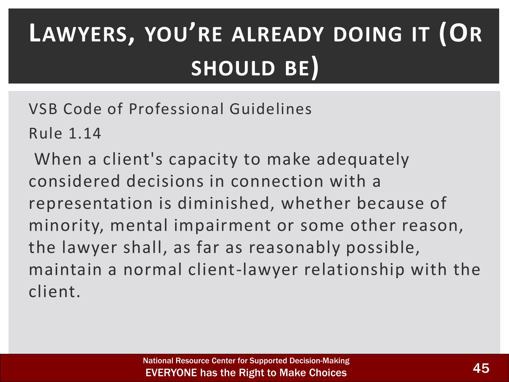# **LAWYERS, YOU'RE ALREADY DOING IT (OR SHOULD BE)**

VSB Code of Professional Guidelines

Rule 1.14

When a client's capacity to make adequately considered decisions in connection with a representation is diminished, whether because of minority, mental impairment or some other reason, the lawyer shall, as far as reasonably possible, maintain a normal client-lawyer relationship with the client.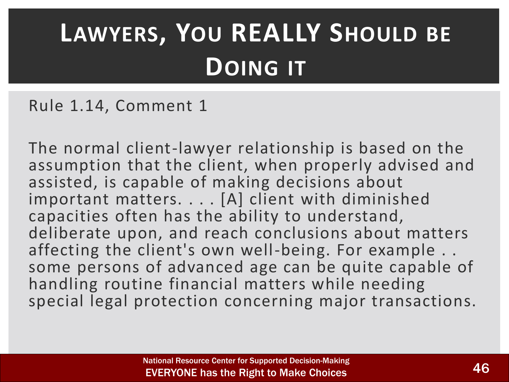### **LAWYERS, YOU REALLY SHOULD BE DOING IT**

Rule 1.14, Comment 1

The normal client-lawyer relationship is based on the assumption that the client, when properly advised and assisted, is capable of making decisions about important matters. . . . [A] client with diminished capacities often has the ability to understand, deliberate upon, and reach conclusions about matters affecting the client's own well-being. For example . . some persons of advanced age can be quite capable of handling routine financial matters while needing special legal protection concerning major transactions.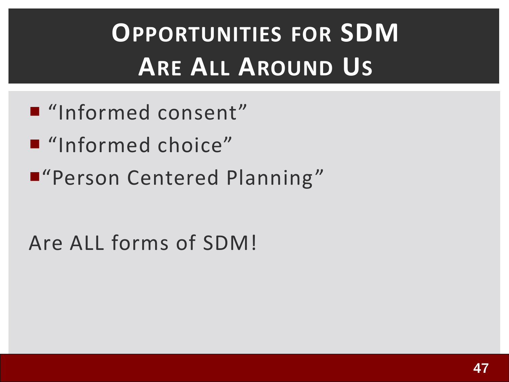## **OPPORTUNITIES FOR SDM ARE ALL AROUND US**

- "Informed consent"
- "Informed choice"
- "Person Centered Planning"

#### Are ALL forms of SDM!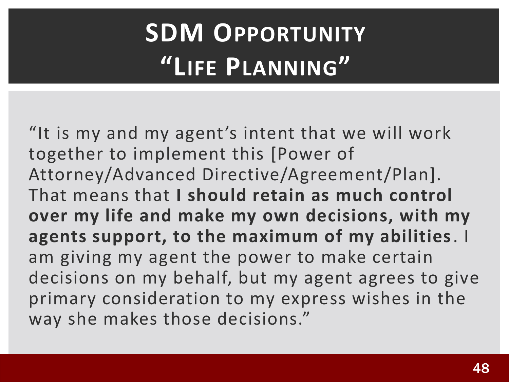## **SDM OPPORTUNITY "LIFE PLANNING"**

"It is my and my agent's intent that we will work together to implement this [Power of Attorney/Advanced Directive/Agreement/Plan]. That means that **I should retain as much control over my life and make my own decisions, with my agents support, to the maximum of my abilities**. I am giving my agent the power to make certain decisions on my behalf, but my agent agrees to give primary consideration to my express wishes in the way she makes those decisions."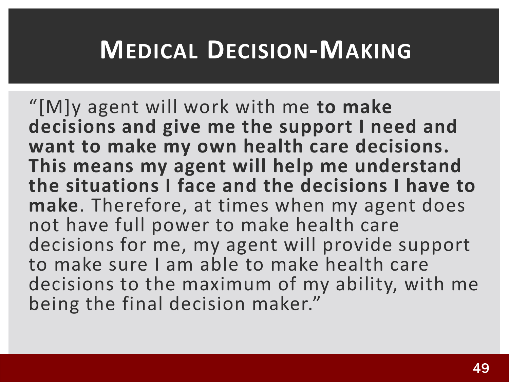### **MEDICAL DECISION-MAKING**

"[M]y agent will work with me **to make decisions and give me the support I need and want to make my own health care decisions. This means my agent will help me understand the situations I face and the decisions I have to make**. Therefore, at times when my agent does not have full power to make health care decisions for me, my agent will provide support to make sure I am able to make health care decisions to the maximum of my ability, with me being the final decision maker."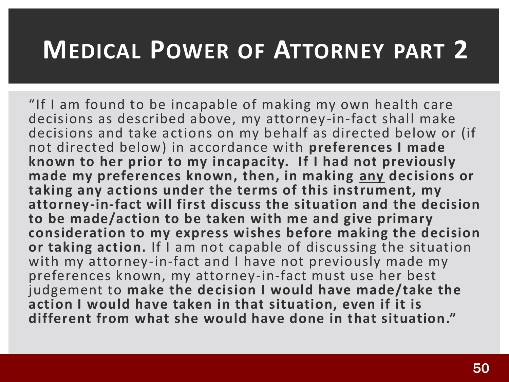### **MEDICAL POWER OF ATTORNEY PART 2**

"If I am found to be incapable of making my own health care decisions as described above, my attorney-in-fact shall make decisions and take actions on my behalf as directed below or (if not directed below) in accordance with **preferences I made known to her prior to my incapacity. If I had not previously made my preferences known, then, in making any decisions or taking any actions under the terms of this instrument, my attorney-in-fact will first discuss the situation and the decision to be made/action to be taken with me and give primary consideration to my express wishes before making the decision or taking action.** If I am not capable of discussing the situation with my attorney-in-fact and I have not previously made my preferences known, my attorney-in-fact must use her best judgement to **make the decision I would have made/take the action I would have taken in that situation, even if it is different from what she would have done in that situation."**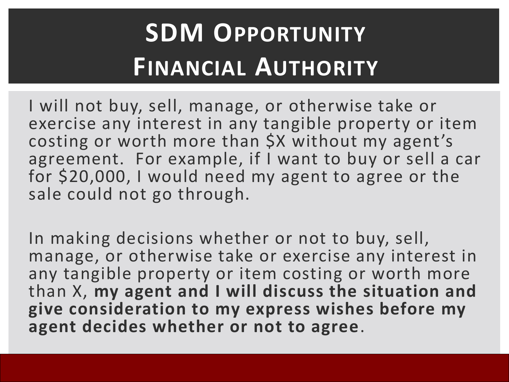### **SDM OPPORTUNITY FINANCIAL AUTHORITY**

I will not buy, sell, manage, or otherwise take or exercise any interest in any tangible property or item costing or worth more than \$X without my agent's agreement. For example, if I want to buy or sell a car for \$20,000, I would need my agent to agree or the sale could not go through.

In making decisions whether or not to buy, sell, manage, or otherwise take or exercise any interest in any tangible property or item costing or worth more than X, **my agent and I will discuss the situation and give consideration to my express wishes before my agent decides whether or not to agree**.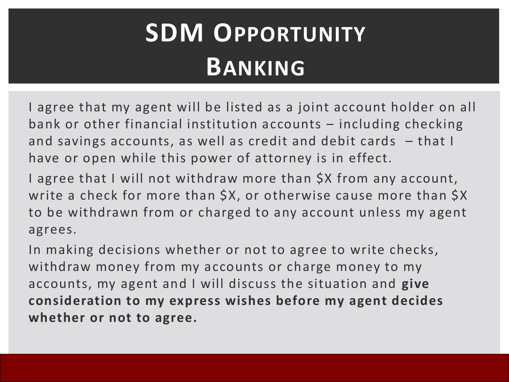### **SDM OPPORTUNITY BANKING**

I agree that my agent will be listed as a joint account holder on all bank or other financial institution accounts – including checking and savings accounts, as well as credit and debit cards – that I have or open while this power of attorney is in effect.

I agree that I will not withdraw more than \$X from any account, write a check for more than \$X, or otherwise cause more than \$X to be withdrawn from or charged to any account unless my agent agrees.

In making decisions whether or not to agree to write checks, withdraw money from my accounts or charge money to my accounts, my agent and I will discuss the situation and **give consideration to my express wishes before my agent decides whether or not to agree.**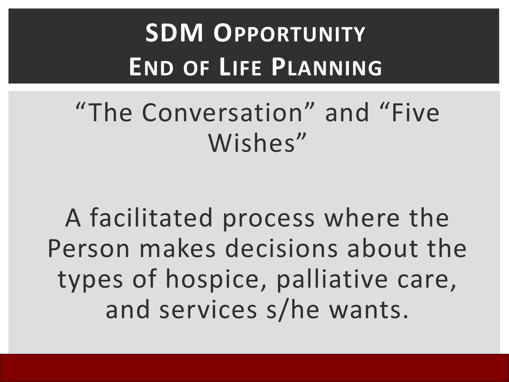## **SDM OPPORTUNITY END OF LIFE PLANNING**

### "The Conversation" and "Five Wishes"

A facilitated process where the Person makes decisions about the types of hospice, palliative care, and services s/he wants.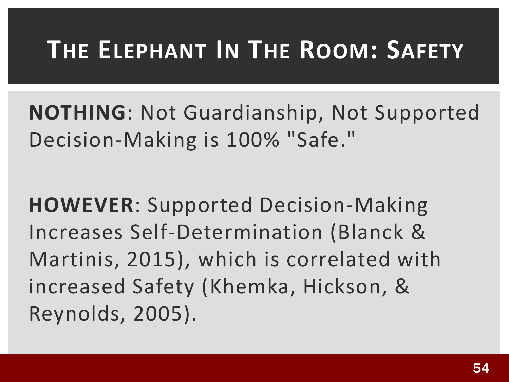### **THE ELEPHANT IN THE ROOM: SAFETY**

**NOTHING**: Not Guardianship, Not Supported Decision-Making is 100% "Safe."

**HOWEVER**: Supported Decision-Making Increases Self-Determination (Blanck & Martinis, 2015), which is correlated with increased Safety (Khemka, Hickson, & Reynolds, 2005).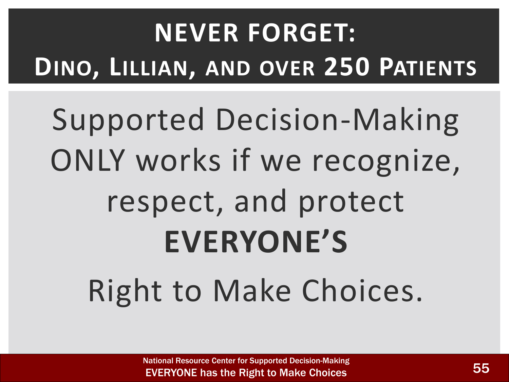# **NEVER FORGET: DINO, LILLIAN, AND OVER 250 PATIENTS**

# Supported Decision-Making ONLY works if we recognize, respect, and protect **EVERYONE'S**  Right to Make Choices.

National Resource Center for Supported Decision-Making EVERYONE has the Right to Make Choices **55**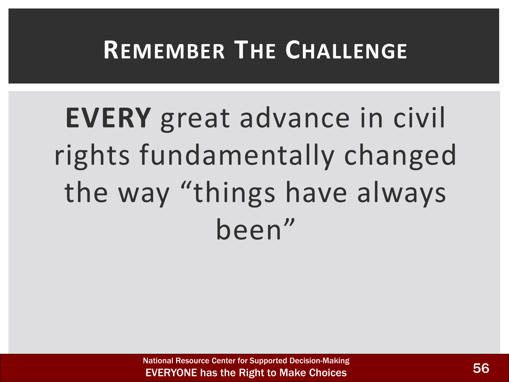### **REMEMBER THE CHALLENGE**

# **EVERY** great advance in civil rights fundamentally changed the way "things have always been"

National Resource Center for Supported Decision-Making EVERYONE has the Right to Make Choices **566**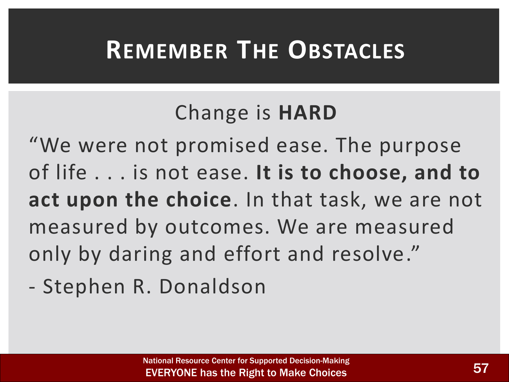### **REMEMBER THE OBSTACLES**

#### Change is **HARD**

"We were not promised ease. The purpose of life . . . is not ease. **It is to choose, and to act upon the choice**. In that task, we are not measured by outcomes. We are measured only by daring and effort and resolve."

- Stephen R. Donaldson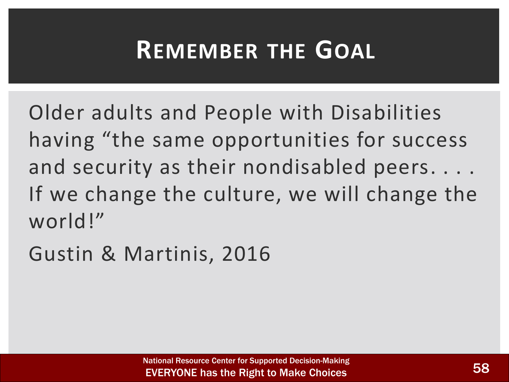### **REMEMBER THE GOAL**

Older adults and People with Disabilities having "the same opportunities for success and security as their nondisabled peers. . . . If we change the culture, we will change the world!"

Gustin & Martinis, 2016